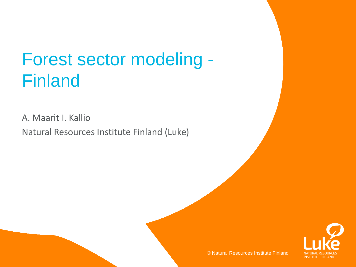## Forest sector modeling - Finland

A. Maarit I. Kallio

Natural Resources Institute Finland (Luke)

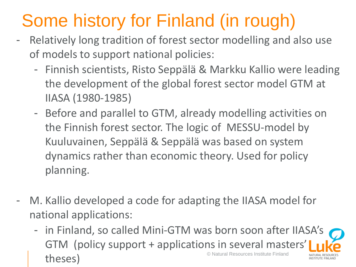- Relatively long tradition of forest sector modelling and also use of models to support national policies:
	- Finnish scientists, Risto Seppälä & Markku Kallio were leading the development of the global forest sector model GTM at IIASA (1980-1985)
	- Before and parallel to GTM, already modelling activities on the Finnish forest sector. The logic of MESSU-model by Kuuluvainen, Seppälä & Seppälä was based on system dynamics rather than economic theory. Used for policy planning.
- M. Kallio developed a code for adapting the IIASA model for national applications:
	- in Finland, so called Mini-GTM was born soon after IIASA's GTM (policy support + applications in several masters' © Natural Resources Institute Finland theses)NSTITUTE EINLAND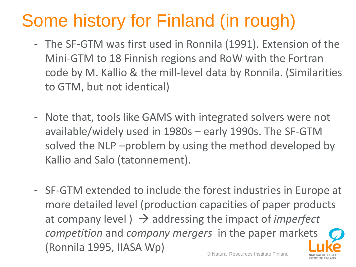- The SF-GTM was first used in Ronnila (1991). Extension of the Mini-GTM to 18 Finnish regions and RoW with the Fortran code by M. Kallio & the mill-level data by Ronnila. (Similarities to GTM, but not identical)
- Note that, tools like GAMS with integrated solvers were not available/widely used in 1980s – early 1990s. The SF-GTM solved the NLP –problem by using the method developed by Kallio and Salo (tatonnement).
- © Natural Resources Institute Finland - SF-GTM extended to include the forest industries in Europe at more detailed level (production capacities of paper products at company level  $) \rightarrow$  addressing the impact of *imperfect competition* and *company mergers* in the paper markets (Ronnila 1995, IIASA Wp)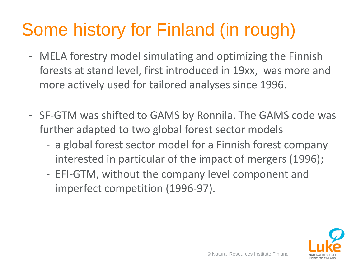- MELA forestry model simulating and optimizing the Finnish forests at stand level, first introduced in 19xx, was more and more actively used for tailored analyses since 1996.
- SF-GTM was shifted to GAMS by Ronnila. The GAMS code was further adapted to two global forest sector models
	- a global forest sector model for a Finnish forest company interested in particular of the impact of mergers (1996);
	- EFI-GTM, without the company level component and imperfect competition (1996-97).

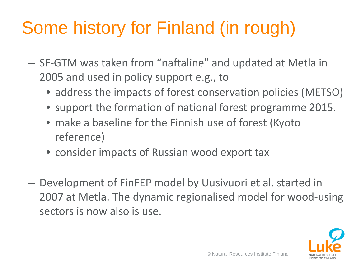- SF-GTM was taken from "naftaline" and updated at Metla in 2005 and used in policy support e.g., to
	- address the impacts of forest conservation policies (METSO)
	- support the formation of national forest programme 2015.
	- make a baseline for the Finnish use of forest (Kyoto reference)
	- consider impacts of Russian wood export tax
- Development of FinFEP model by Uusivuori et al. started in 2007 at Metla. The dynamic regionalised model for wood-using sectors is now also is use.

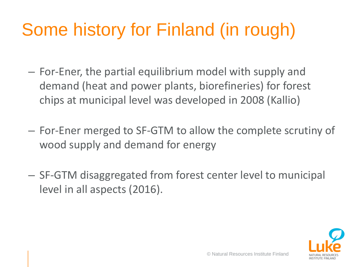- For-Ener, the partial equilibrium model with supply and demand (heat and power plants, biorefineries) for forest chips at municipal level was developed in 2008 (Kallio)
- For-Ener merged to SF-GTM to allow the complete scrutiny of wood supply and demand for energy
- SF-GTM disaggregated from forest center level to municipal level in all aspects (2016).

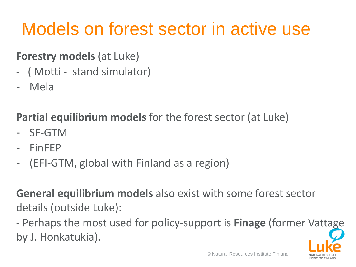## Models on forest sector in active use

### **Forestry models** (at Luke)

- ( Motti stand simulator)
- Mela

### **Partial equilibrium models** for the forest sector (at Luke)

- SF-GTM
- FinFEP
- (EFI-GTM, global with Finland as a region)

**General equilibrium models** also exist with some forest sector details (outside Luke):

- Perhaps the most used for policy-support is **Finage** (former Vattage by J. Honkatukia).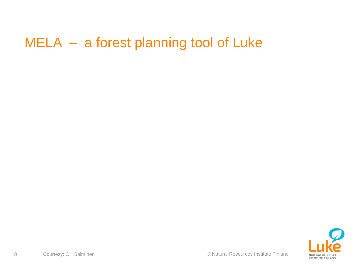## MELA – a forest planning tool of Luke

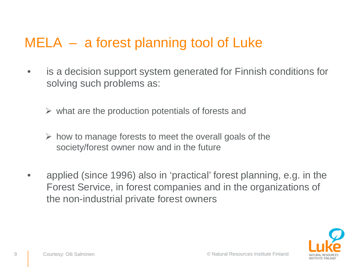## MELA – a forest planning tool of Luke

- is a decision support system generated for Finnish conditions for solving such problems as:
	- $\triangleright$  what are the production potentials of forests and
	- $\triangleright$  how to manage forests to meet the overall goals of the society/forest owner now and in the future
- applied (since 1996) also in 'practical' forest planning, e.g. in the Forest Service, in forest companies and in the organizations of the non-industrial private forest owners

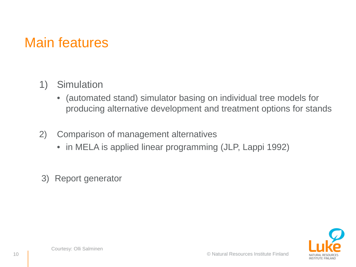## Main features

#### 1) Simulation

- (automated stand) simulator basing on individual tree models for producing alternative development and treatment options for stands
- 2) Comparison of management alternatives
	- in MELA is applied linear programming (JLP, Lappi 1992)
- 3) Report generator

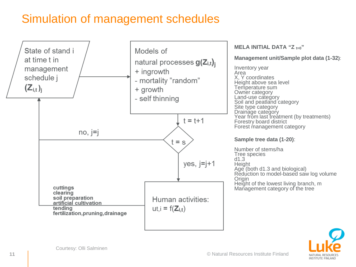### Simulation of management schedules





Courtesy: Olli Salminen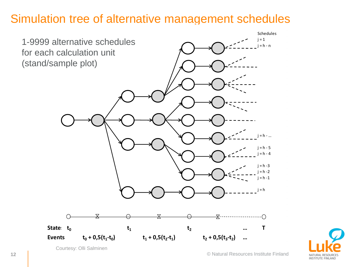### Simulation tree of alternative management schedules





Courtesy: Olli Salminen

© Natural Resources Institute Finland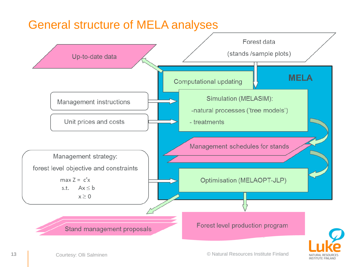### General structure of MELA analyses



**INSTITUTE FINLAND**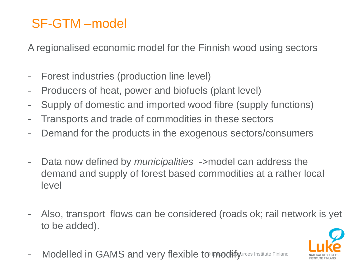### SF-GTM –model

A regionalised economic model for the Finnish wood using sectors

- Forest industries (production line level)
- Producers of heat, power and biofuels (plant level)
- Supply of domestic and imported wood fibre (supply functions)
- Transports and trade of commodities in these sectors
- Demand for the products in the exogenous sectors/consumers
- Data now defined by *municipalities* ->model can address the demand and supply of forest based commodities at a rather local level
- Also, transport flows can be considered (roads ok; rail network is yet to be added).



- Modelled in GAMS and very flexible to mochify alroes Institute Finland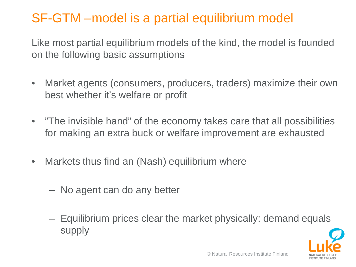### SF-GTM –model is a partial equilibrium model

Like most partial equilibrium models of the kind, the model is founded on the following basic assumptions

- Market agents (consumers, producers, traders) maximize their own best whether it's welfare or profit
- "The invisible hand" of the economy takes care that all possibilities for making an extra buck or welfare improvement are exhausted
- Markets thus find an (Nash) equilibrium where
	- No agent can do any better
	- Equilibrium prices clear the market physically: demand equals supply

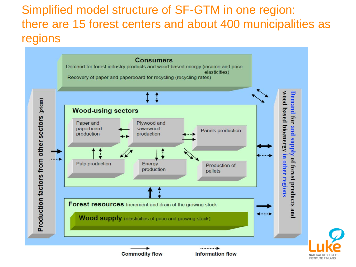Simplified model structure of SF-GTM in one region: there are 15 forest centers and about 400 municipalities as regions

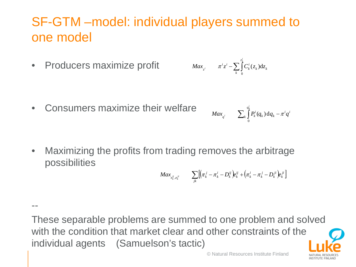### SF-GTM –model: individual players summed to one model

• Producers maximize profit

• Consumers maximize their welfare

--

$$
Max_{z^i} \qquad \pi^iz^i - \sum_k \int_0^{z_k^i} C_k^i(z_k) \mathrm{d} z_k
$$

$$
Max_{q^i} \qquad \sum_k \int_0^{q_k^i} P_k^i(q_k) \mathrm{d} q_k - \pi^i q^i
$$

• Maximizing the profits from trading removes the arbitrage possibilities

$$
Max_{e_k^{ij},e_k^{ji}} \qquad \sum_{jk} \left[ \left(\pi_k^j-\pi_k^i-D_k^{ij}\right)\!\!e_k^{ij}+\left(\pi_k^i-\pi_k^j-D_k^{ji}\right)\!\!e_k^{ji}\right]
$$

These separable problems are summed to one problem and solved with the condition that market clear and other constraints of the individual agents (Samuelson's tactic)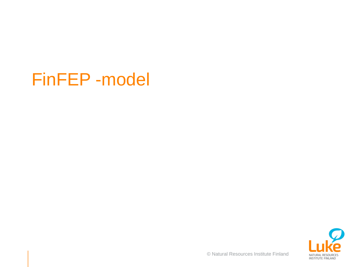## FinFEP -model



© Natural Resources Institute Finland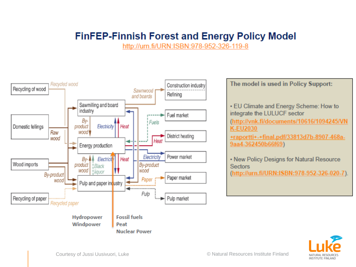#### **FinFEP-Finnish Forest and Energy Policy Model**

http://urn.fi/URN:ISBN:978-952-326-119-8



The model is used in Policy Support: • EU Climate and Energy Scheme: How to integrate the LULUCF sector (http://vnk.fi/documents/10616/1094245/VN **K-EU2030** +raportti+-+final.pdf/33813d7b-8907-468a-9aa4-362450b66f69) . New Policy Designs for Natural Resource **Sectors** (http://urn.fi/URN:ISBN:978-952-326-020-7).